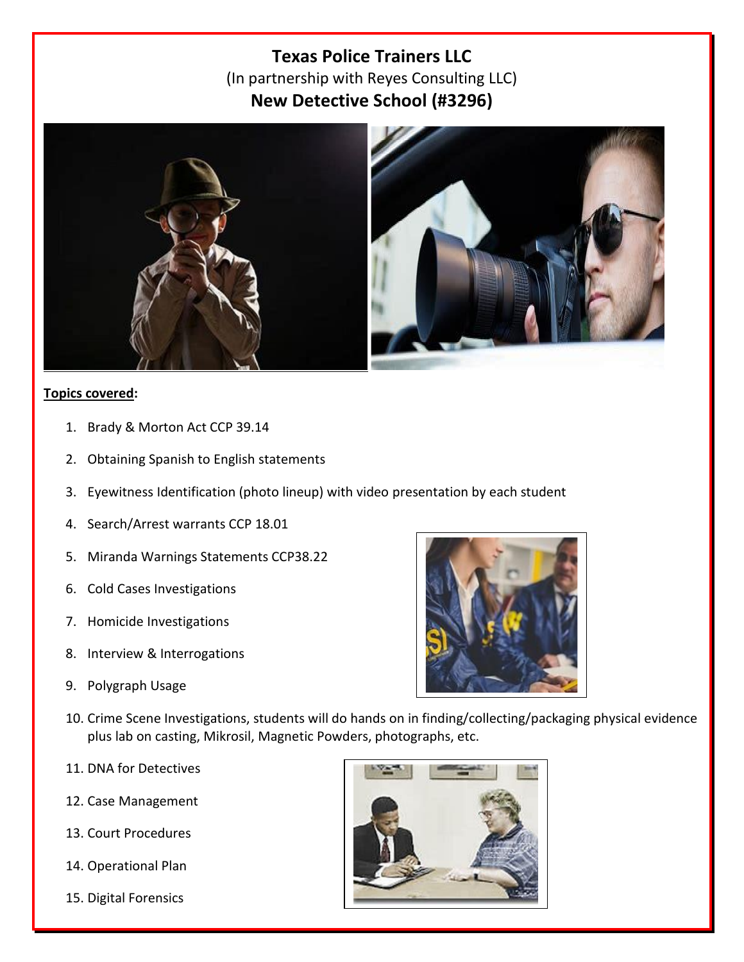# **Texas Police Trainers LLC**  (In partnership with Reyes Consulting LLC) **New Detective School (#3296)**



## **Topics covered:**

- 1. Brady & Morton Act CCP 39.14
- 2. Obtaining Spanish to English statements
- 3. Eyewitness Identification (photo lineup) with video presentation by each student
- 4. Search/Arrest warrants CCP 18.01
- 5. Miranda Warnings Statements CCP38.22
- 6. Cold Cases Investigations
- 7. Homicide Investigations
- 8. Interview & Interrogations
- 9. Polygraph Usage



- 10. Crime Scene Investigations, students will do hands on in finding/collecting/packaging physical evidence plus lab on casting, Mikrosil, Magnetic Powders, photographs, etc.
- 11. DNA for Detectives
- 12. Case Management
- 13. Court Procedures
- 14. Operational Plan
- 15. Digital Forensics